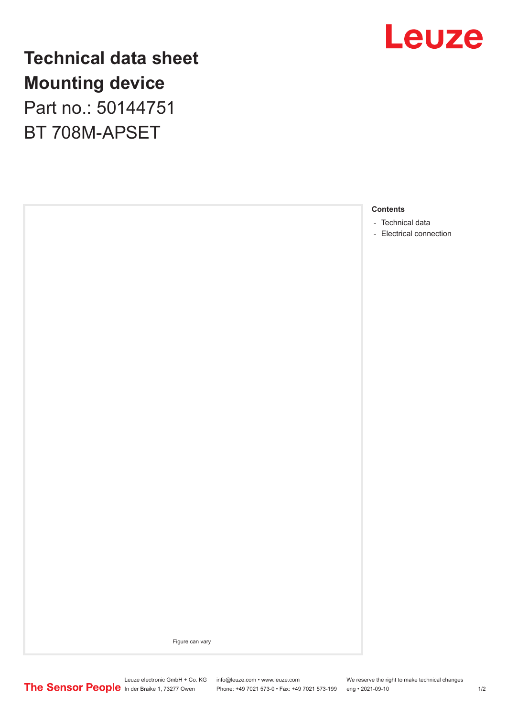

**Technical data sheet Mounting device** Part no.: 50144751 BT 708M-APSET

### **Contents**

- [Technical data](#page-1-0)
- [Electrical connection](#page-1-0)

Figure can vary

In der Braike 1, 73277 Owen Phone: +49 7021 573-0 • Fax: +49 7021 573-199 eng • 2021-09-10 1/2